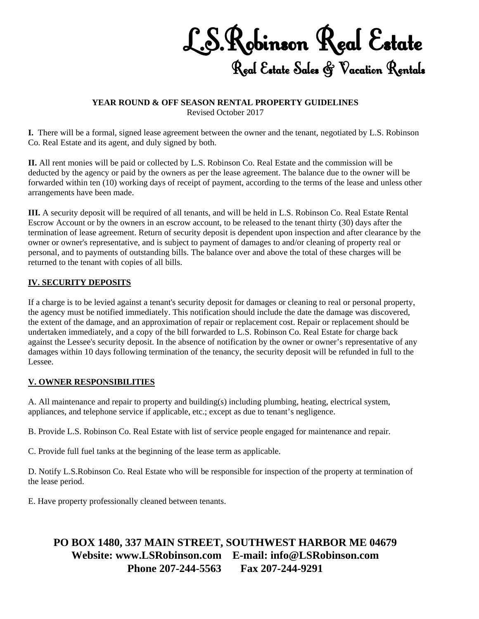L.S.Robinson Real Estate Real Estate Sales & Vacation Rentals

#### **YEAR ROUND & OFF SEASON RENTAL PROPERTY GUIDELINES**  Revised October 2017

**I.** There will be a formal, signed lease agreement between the owner and the tenant, negotiated by L.S. Robinson Co. Real Estate and its agent, and duly signed by both.

**II.** All rent monies will be paid or collected by L.S. Robinson Co. Real Estate and the commission will be deducted by the agency or paid by the owners as per the lease agreement. The balance due to the owner will be forwarded within ten (10) working days of receipt of payment, according to the terms of the lease and unless other arrangements have been made.

**III.** A security deposit will be required of all tenants, and will be held in L.S. Robinson Co. Real Estate Rental Escrow Account or by the owners in an escrow account, to be released to the tenant thirty (30) days after the termination of lease agreement. Return of security deposit is dependent upon inspection and after clearance by the owner or owner's representative, and is subject to payment of damages to and/or cleaning of property real or personal, and to payments of outstanding bills. The balance over and above the total of these charges will be returned to the tenant with copies of all bills.

#### **IV. SECURITY DEPOSITS**

If a charge is to be levied against a tenant's security deposit for damages or cleaning to real or personal property, the agency must be notified immediately. This notification should include the date the damage was discovered, the extent of the damage, and an approximation of repair or replacement cost. Repair or replacement should be undertaken immediately, and a copy of the bill forwarded to L.S. Robinson Co. Real Estate for charge back against the Lessee's security deposit. In the absence of notification by the owner or owner's representative of any damages within 10 days following termination of the tenancy, the security deposit will be refunded in full to the Lessee.

### **V. OWNER RESPONSIBILITIES**

A. All maintenance and repair to property and building(s) including plumbing, heating, electrical system, appliances, and telephone service if applicable, etc.; except as due to tenant's negligence.

B. Provide L.S. Robinson Co. Real Estate with list of service people engaged for maintenance and repair.

C. Provide full fuel tanks at the beginning of the lease term as applicable.

D. Notify L.S.Robinson Co. Real Estate who will be responsible for inspection of the property at termination of the lease period.

E. Have property professionally cleaned between tenants.

# **PO BOX 1480, 337 MAIN STREET, SOUTHWEST HARBOR ME 04679 Website: www.LSRobinson.com E-mail: info@LSRobinson.com Phone 207-244-5563 Fax 207-244-9291**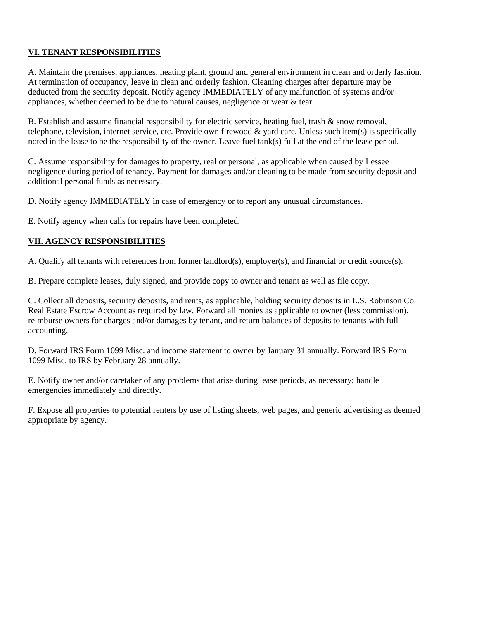### **VI. TENANT RESPONSIBILITIES**

A. Maintain the premises, appliances, heating plant, ground and general environment in clean and orderly fashion. At termination of occupancy, leave in clean and orderly fashion. Cleaning charges after departure may be deducted from the security deposit. Notify agency IMMEDIATELY of any malfunction of systems and/or appliances, whether deemed to be due to natural causes, negligence or wear & tear.

B. Establish and assume financial responsibility for electric service, heating fuel, trash & snow removal, telephone, television, internet service, etc. Provide own firewood & yard care. Unless such item(s) is specifically noted in the lease to be the responsibility of the owner. Leave fuel tank(s) full at the end of the lease period.

C. Assume responsibility for damages to property, real or personal, as applicable when caused by Lessee negligence during period of tenancy. Payment for damages and/or cleaning to be made from security deposit and additional personal funds as necessary.

D. Notify agency IMMEDIATELY in case of emergency or to report any unusual circumstances.

E. Notify agency when calls for repairs have been completed.

### **VII. AGENCY RESPONSIBILITIES**

A. Qualify all tenants with references from former landlord(s), employer(s), and financial or credit source(s).

B. Prepare complete leases, duly signed, and provide copy to owner and tenant as well as file copy.

C. Collect all deposits, security deposits, and rents, as applicable, holding security deposits in L.S. Robinson Co. Real Estate Escrow Account as required by law. Forward all monies as applicable to owner (less commission), reimburse owners for charges and/or damages by tenant, and return balances of deposits to tenants with full accounting.

D. Forward IRS Form 1099 Misc. and income statement to owner by January 31 annually. Forward IRS Form 1099 Misc. to IRS by February 28 annually.

E. Notify owner and/or caretaker of any problems that arise during lease periods, as necessary; handle emergencies immediately and directly.

F. Expose all properties to potential renters by use of listing sheets, web pages, and generic advertising as deemed appropriate by agency.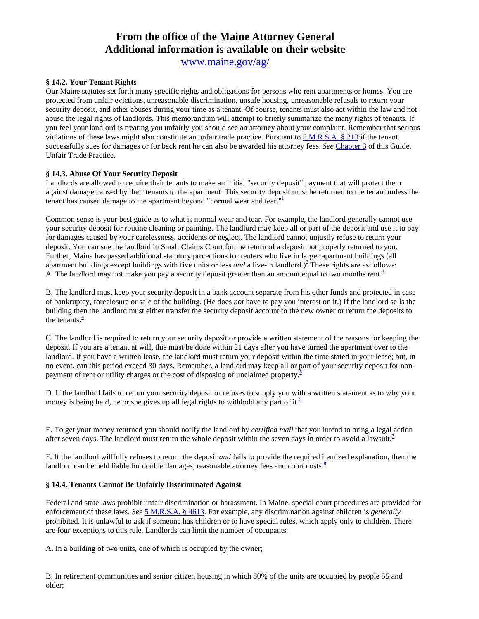# **From the office of the Maine Attorney General Additional information is available on their website**

[www.maine.gov/ag/](http://www.maine.gov/ag/)

#### **§ 14.2. Your Tenant Rights**

Our Maine statutes set forth many specific rights and obligations for persons who rent apartments or homes. You are protected from unfair evictions, unreasonable discrimination, unsafe housing, unreasonable refusals to return your security deposit, and other abuses during your time as a tenant. Of course, tenants must also act within the law and not abuse the legal rights of landlords. This memorandum will attempt to briefly summarize the many rights of tenants. If you feel your landlord is treating you unfairly you should see an attorney about your complaint. Remember that serious violations of these laws might also constitute an unfair trade practice. Pursuant to [5 M.R.S.A. § 213](http://janus.state.me.us/legis/statutes/search.asp) if the tenant successfully sues for damages or for back rent he can also be awarded his attorney fees. *See* [Chapter 3](http://www.maine.gov/ag/?r=clg&s=chap3) of this Guide, Unfair Trade Practice.

#### **§ 14.3. Abuse Of Your Security Deposit**

Landlords are allowed to require their tenants to make an initial "security deposit" payment that will protect them against damage caused by their tenants to the apartment. This security deposit must be returned to the tenant unless the tenant has caused damage to the apartment beyond "normal wear and tear." $1$ 

Common sense is your best guide as to what is normal wear and tear. For example, the landlord generally cannot use your security deposit for routine cleaning or painting. The landlord may keep all or part of the deposit and use it to pay for damages caused by your carelessness, accidents or neglect. The landlord cannot unjustly refuse to return your deposit. You can sue the landlord in Small Claims Court for the return of a deposit not properly returned to you. Further, Maine has passed additional statutory protections for renters who live in larger apartment buildings (all apartment buildings except buildings with five units or less *and* a live-in landlord.)<sup>2</sup> These rights are as follows: A. The landlord may not make you pay a security deposit greater than an amount equal to two months rent. $3<sup>3</sup>$ 

B. The landlord must keep your security deposit in a bank account separate from his other funds and protected in case of bankruptcy, foreclosure or sale of the building. (He does *not* have to pay you interest on it.) If the landlord sells the building then the landlord must either transfer the security deposit account to the new owner or return the deposits to the tenants. $\frac{4}{3}$  $\frac{4}{3}$  $\frac{4}{3}$ 

C. The landlord is required to return your security deposit or provide a written statement of the reasons for keeping the deposit. If you are a tenant at will, this must be done within 21 days after you have turned the apartment over to the landlord. If you have a written lease, the landlord must return your deposit within the time stated in your lease; but, in no event, can this period exceed 30 days. Remember, a landlord may keep all or part of your security deposit for nonpayment of rent or utility charges or the cost of disposing of unclaimed property. $\frac{5}{5}$  $\frac{5}{5}$  $\frac{5}{5}$ 

D. If the landlord fails to return your security deposit or refuses to supply you with a written statement as to why your money is being held, he or she gives up all legal rights to withhold any part of it.<sup>6</sup>

E. To get your money returned you should notify the landlord by *certified mail* that you intend to bring a legal action after seven days. The landlord must return the whole deposit within the seven days in order to avoid a lawsuit.<sup>[7](http://www.maine.gov/ag/clg/footnote/14-7.html)</sup>

F. If the landlord willfully refuses to return the deposit *and* fails to provide the required itemized explanation, then the landlord can be held liable for double damages, reasonable attorney fees and court costs. $\frac{8}{3}$  $\frac{8}{3}$  $\frac{8}{3}$ 

#### **§ 14.4. Tenants Cannot Be Unfairly Discriminated Against**

Federal and state laws prohibit unfair discrimination or harassment. In Maine, special court procedures are provided for enforcement of these laws. *See* [5 M.R.S.A. § 4613](http://janus.state.me.us/legis/statutes/search.asp). For example, any discrimination against children is *generally* prohibited. It is unlawful to ask if someone has children or to have special rules, which apply only to children. There are four exceptions to this rule. Landlords can limit the number of occupants:

A. In a building of two units, one of which is occupied by the owner;

B. In retirement communities and senior citizen housing in which 80% of the units are occupied by people 55 and older;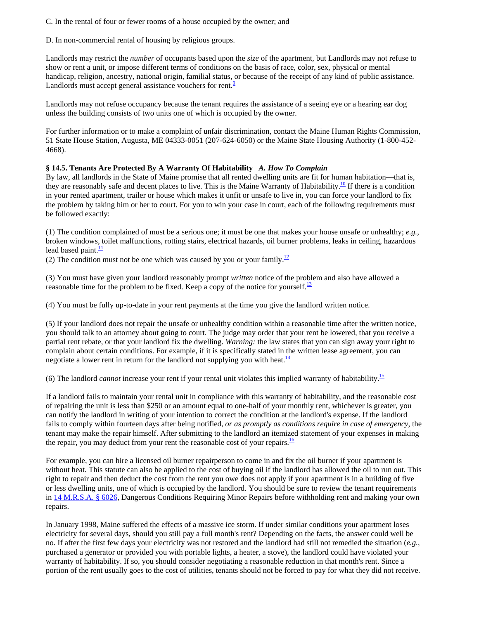C. In the rental of four or fewer rooms of a house occupied by the owner; and

D. In non-commercial rental of housing by religious groups.

Landlords may restrict the *number* of occupants based upon the *size* of the apartment, but Landlords may not refuse to show or rent a unit, or impose different terms of conditions on the basis of race, color, sex, physical or mental handicap, religion, ancestry, national origin, familial status, or because of the receipt of any kind of public assistance. Landlords must accept general assistance vouchers for rent. $\frac{9}{2}$  $\frac{9}{2}$  $\frac{9}{2}$ 

Landlords may not refuse occupancy because the tenant requires the assistance of a seeing eye or a hearing ear dog unless the building consists of two units one of which is occupied by the owner.

For further information or to make a complaint of unfair discrimination, contact the Maine Human Rights Commission, 51 State House Station, Augusta, ME 04333-0051 (207-624-6050) or the Maine State Housing Authority (1-800-452- 4668).

#### **§ 14.5. Tenants Are Protected By A Warranty Of Habitability** *A. How To Complain*

By law, all landlords in the State of Maine promise that all rented dwelling units are fit for human habitation—that is, they are reasonably safe and decent places to live. This is the Maine Warranty of Habitability.<sup>10</sup> If there is a condition in your rented apartment, trailer or house which makes it unfit or unsafe to live in, you can force your landlord to fix the problem by taking him or her to court. For you to win your case in court, each of the following requirements must be followed exactly:

(1) The condition complained of must be a serious one; it must be one that makes your house unsafe or unhealthy; *e.g.*, broken windows, toilet malfunctions, rotting stairs, electrical hazards, oil burner problems, leaks in ceiling, hazardous lead based paint. $\frac{11}{11}$  $\frac{11}{11}$  $\frac{11}{11}$ 

(2) The condition must not be one which was caused by you or your family.<sup>12</sup>

(3) You must have given your landlord reasonably prompt *written* notice of the problem and also have allowed a reasonable time for the problem to be fixed. Keep a copy of the notice for yourself.<sup>[13](http://www.maine.gov/ag/clg/footnote/14-13.html)</sup>

(4) You must be fully up-to-date in your rent payments at the time you give the landlord written notice.

(5) If your landlord does not repair the unsafe or unhealthy condition within a reasonable time after the written notice, you should talk to an attorney about going to court. The judge may order that your rent be lowered, that you receive a partial rent rebate, or that your landlord fix the dwelling. *Warning:* the law states that you can sign away your right to complain about certain conditions. For example, if it is specifically stated in the written lease agreement, you can negotiate a lower rent in return for the landlord not supplying you with heat.<sup>[14](http://www.maine.gov/ag/clg/footnote/14-14.html)</sup>

(6) The landlord *cannot* increase your rent if your rental unit violates this implied warranty of habitability[.15](http://www.maine.gov/ag/clg/footnote/14-15.html)

If a landlord fails to maintain your rental unit in compliance with this warranty of habitability, and the reasonable cost of repairing the unit is less than \$250 or an amount equal to one-half of your monthly rent, whichever is greater, you can notify the landlord in writing of your intention to correct the condition at the landlord's expense. If the landlord fails to comply within fourteen days after being notified, *or as promptly as conditions require in case of emergency*, the tenant may make the repair himself. After submitting to the landlord an itemized statement of your expenses in making the repair, you may deduct from your rent the reasonable cost of your repairs.<sup>[16](http://www.maine.gov/ag/clg/footnote/14-16.html)</sup>

For example, you can hire a licensed oil burner repairperson to come in and fix the oil burner if your apartment is without heat. This statute can also be applied to the cost of buying oil if the landlord has allowed the oil to run out. This right to repair and then deduct the cost from the rent you owe does not apply if your apartment is in a building of five or less dwelling units, one of which is occupied by the landlord. You should be sure to review the tenant requirements in [14 M.R.S.A. § 6026](http://janus.state.me.us/legis/statutes/search.asp), Dangerous Conditions Requiring Minor Repairs before withholding rent and making your own repairs.

In January 1998, Maine suffered the effects of a massive ice storm. If under similar conditions your apartment loses electricity for several days, should you still pay a full month's rent? Depending on the facts, the answer could well be no. If after the first few days your electricity was not restored and the landlord had still not remedied the situation (*e.g.*, purchased a generator or provided you with portable lights, a heater, a stove), the landlord could have violated your warranty of habitability. If so, you should consider negotiating a reasonable reduction in that month's rent. Since a portion of the rent usually goes to the cost of utilities, tenants should not be forced to pay for what they did not receive.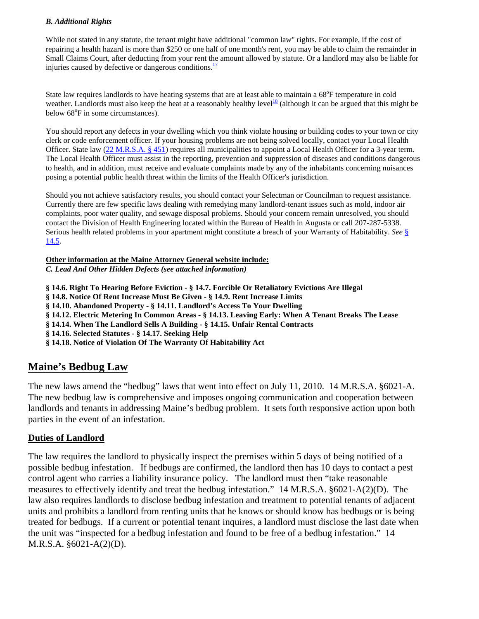### *B. Additional Rights*

While not stated in any statute, the tenant might have additional "common law" rights. For example, if the cost of repairing a health hazard is more than \$250 or one half of one month's rent, you may be able to claim the remainder in Small Claims Court, after deducting from your rent the amount allowed by statute. Or a landlord may also be liable for injuries caused by defective or dangerous conditions. $\frac{17}{17}$  $\frac{17}{17}$  $\frac{17}{17}$ 

State law requires landlords to have heating systems that are at least able to maintain a 68°F temperature in cold weather. Landlords must also keep the heat at a reasonably healthy level<sup>[18](http://www.maine.gov/ag/clg/footnote/14-18.html)</sup> (although it can be argued that this might be below 68°F in some circumstances).

You should report any defects in your dwelling which you think violate housing or building codes to your town or city clerk or code enforcement officer. If your housing problems are not being solved locally, contact your Local Health Officer. State law [\(22 M.R.S.A. § 451\)](http://janus.state.me.us/legis/statutes/search.asp) requires all municipalities to appoint a Local Health Officer for a 3-year term. The Local Health Officer must assist in the reporting, prevention and suppression of diseases and conditions dangerous to health, and in addition, must receive and evaluate complaints made by any of the inhabitants concerning nuisances posing a potential public health threat within the limits of the Health Officer's jurisdiction.

Should you not achieve satisfactory results, you should contact your Selectman or Councilman to request assistance. Currently there are few specific laws dealing with remedying many landlord-tenant issues such as mold, indoor air complaints, poor water quality, and sewage disposal problems. Should your concern remain unresolved, you should contact the Division of Health Engineering located within the Bureau of Health in Augusta or call 207-287-5338. Serious health related problems in your apartment might constitute a breach of your Warranty of Habitability. *See* [§](http://www.maine.gov/ag/?r=clg&s=chap14#14.5)  [14.5](http://www.maine.gov/ag/?r=clg&s=chap14#14.5).

**Other information at the Maine Attorney General website include:**

*C . Lead And Other Hidden Defects (see attached information)* 

**§ 14.6. Right To Hearing Before Eviction - § 14.7. Forcible Or Retaliatory Evictions Are Illegal § 14.8. Notice Of Rent Increase Must Be Given - § 14.9. Rent Increase Limits § 14.10. Abandoned Property - § 14.11. Landlord's Access To Your Dwelling § 14.12. Electric Metering In Common Areas - § 14.13. Leaving Early: When A Tenant Breaks The Lease § 14.14. When The Landlord Sells A Building - § 14.15. Unfair Rental Contracts § 14.16. Selected Statutes - § 14.17. Seeking Help § 14.18. Notice of Violation Of The Warranty Of H abitability Act**

# **Maine's Bedbug Law**

The new laws amend the "bedbug" laws that went into effect on July 11, 2010. 14 M.R.S.A. §6021-A. The new bedbug law is comprehensive and imposes ongoing communication and cooperation between landlords and tenants in addressing Maine's bedbug problem. It sets forth responsive action upon both parties in the event of an infestation.

## **Duties of Landlord**

The law requires the landlord to physically inspect the premises within 5 days of being notified of a possible bedbug infestation. If bedbugs are confirmed, the landlord then has 10 days to contact a pest measures to effectively identify and treat the bedbug infestation." 14 M.R.S.A. §6021-A(2)(D). The law also requires landlords to disclose bedbug infestation and treatment to potential tenants of adjacent control agent who carries a liability insurance policy. The landlord must then "take reasonable units and prohibits a landlord from renting units that he knows or should know has bedbugs or is being treated for bedbugs. If a current or potential tenant inquires, a landlord must disclose the last date when the unit was "inspected for a bedbug infestation and found to be free of a bedbug infestation." 14 M.R.S.A. §6021-A(2)(D).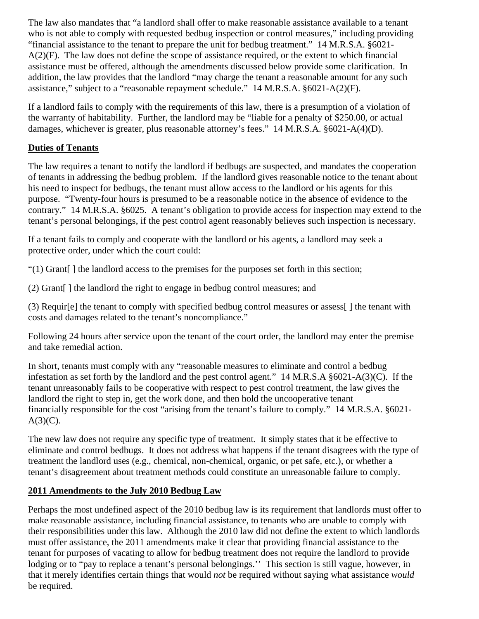The law also mandates that "a landlord shall offer to make reasonable assistance available to a tenant who is not able to comply with requested bedbug inspection or control measures," including providing "financial assistance to the tenant to prepare the unit for bedbug treatment." 14 M.R.S.A. §6021- A(2)(F). The law does not define the scope of assistance required, or the extent to which financial assistance must be offered, although the amendments discussed below provide some clarification. In addition, the law provides that the landlord "may charge the tenant a reasonable amount for any such assistance," subject to a "reasonable repayment schedule." 14 M.R.S.A. §6021-A(2)(F).

If a landlord fails to comply with the requirements of this law, there is a presumption of a violation of the warranty of habitability. Further, the landlord may be "liable for a penalty of \$250.00, or actual damages, whichever is greater, plus reasonable attorney's fees." 14 M.R.S.A. §6021-A(4)(D).

# **Duties of Tenants**

The law requires a tenant to notify the landlord if bedbugs are suspected, and mandates the cooperation of tenants in addressing the bedbug problem. If the landlord gives reasonable notice to the tenant about his need to inspect for bedbugs, the tenant must allow access to the landlord or his agents for this purpose. "Twenty-four hours is presumed to be a reasonable notice in the absence of evidence to the contrary." 14 M.R.S.A. §6025. A tenant's obligation to provide access for inspection may extend to the tenant's personal belongings, if the pest control agent reasonably believes such inspection is necessary.

If a tenant fails to comply and cooperate with the landlord or his agents, a landlord may seek a protective order, under which the court could:

"(1) Grant[ ] the landlord access to the premises for the purposes set forth in this section;

(2) Grant[ ] the landlord the right to engage in bedbug control measures; and

(3) Requir[e] the tenant to comply with specified bedbug control measures or assess[ ] the tenant with costs and damages related to the tenant's noncompliance."

Following 24 hours after service upon the tenant of the court order, the landlord may enter the premise and take remedial action.

In short, tenants must comply with any "reasonable measures to eliminate and control a bedbug infestation as set forth by the landlord and the pest control agent." 14 M.R.S.A  $\S 6021-A(3)(C)$ . If the tenant unreasonably fails to be cooperative with respect to pest control treatment, the law gives the landlord the right to step in, get the work done, and then hold the uncooperative tenant financially responsible for the cost "arising from the tenant's failure to comply." 14 M.R.S.A. §6021-  $A(3)(C)$ .

The new law does not require any specific type of treatment. It simply states that it be effective to eliminate and control bedbugs. It does not address what happens if the tenant disagrees with the type of treatment the landlord uses (e.g., chemical, non-chemical, organic, or pet safe, etc.), or whether a tenant's disagreement about treatment methods could constitute an unreasonable failure to comply.

# **2011 Amendments to the July 2010 Bedbug Law**

Perhaps the most undefined aspect of the 2010 bedbug law is its requirement that landlords must offer to make reasonable assistance, including financial assistance, to tenants who are unable to comply with their responsibilities under this law. Although the 2010 law did not define the extent to which landlords must offer assistance, the 2011 amendments make it clear that providing financial assistance to the tenant for purposes of vacating to allow for bedbug treatment does not require the landlord to provide lodging or to "pay to replace a tenant's personal belongings." This section is still vague, however, in that it merely identifies certain things that would *not* be required without saying what assistance *would* be required.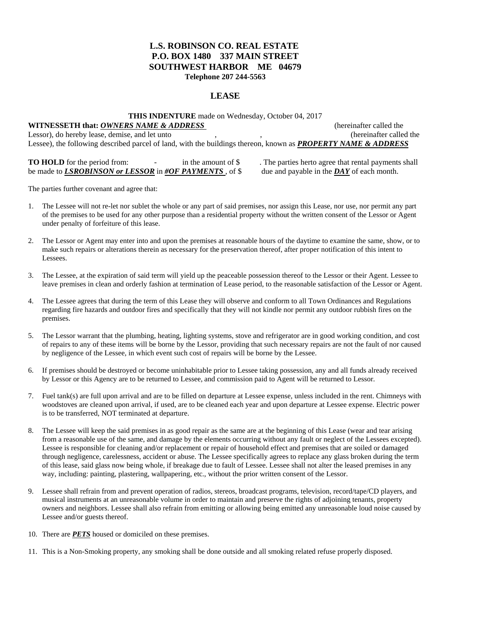#### **L.S. ROBINSON CO. REAL ESTATE P.O. BOX 1480 337 MAIN STREET SOUTHWEST HARBOR ME 04679 Telephone 207 244-5563**

#### **LEASE**

**THIS INDENTURE** made on Wednesday, October 04, 2017

**WITNESSETH that: OWNERS NAME & ADDRESS** (hereinafter called the Lessor), do hereby lease, demise, and let unto , , (hereinafter called the Lessee), the following described parcel of land, with the buildings thereon, known as *PROPERTY NAME & ADDRESS*

**TO HOLD** for the period from:  $\qquad \qquad$  in the amount of \$ . The parties herto agree that rental payments shall be made to *LSROBINSON or LESSOR* in *#OF PAYMENTS* , of \$ due and payable in the *DAY* of each month.

The parties further covenant and agree that:

- 1. The Lessee will not re-let nor sublet the whole or any part of said premises, nor assign this Lease, nor use, nor permit any part of the premises to be used for any other purpose than a residential property without the written consent of the Lessor or Agent under penalty of forfeiture of this lease.
- 2. The Lessor or Agent may enter into and upon the premises at reasonable hours of the daytime to examine the same, show, or to make such repairs or alterations therein as necessary for the preservation thereof, after proper notification of this intent to Lessees.
- 3. The Lessee, at the expiration of said term will yield up the peaceable possession thereof to the Lessor or their Agent. Lessee to leave premises in clean and orderly fashion at termination of Lease period, to the reasonable satisfaction of the Lessor or Agent.
- 4. The Lessee agrees that during the term of this Lease they will observe and conform to all Town Ordinances and Regulations regarding fire hazards and outdoor fires and specifically that they will not kindle nor permit any outdoor rubbish fires on the premises.
- 5. The Lessor warrant that the plumbing, heating, lighting systems, stove and refrigerator are in good working condition, and cost of repairs to any of these items will be borne by the Lessor, providing that such necessary repairs are not the fault of nor caused by negligence of the Lessee, in which event such cost of repairs will be borne by the Lessee.
- 6. If premises should be destroyed or become uninhabitable prior to Lessee taking possession, any and all funds already received by Lessor or this Agency are to be returned to Lessee, and commission paid to Agent will be returned to Lessor.
- 7. Fuel tank(s) are full upon arrival and are to be filled on departure at Lessee expense, unless included in the rent. Chimneys with woodstoves are cleaned upon arrival, if used, are to be cleaned each year and upon departure at Lessee expense. Electric power is to be transferred, NOT terminated at departure.
- 8. The Lessee will keep the said premises in as good repair as the same are at the beginning of this Lease (wear and tear arising from a reasonable use of the same, and damage by the elements occurring without any fault or neglect of the Lessees excepted). Lessee is responsible for cleaning and/or replacement or repair of household effect and premises that are soiled or damaged through negligence, carelessness, accident or abuse. The Lessee specifically agrees to replace any glass broken during the term of this lease, said glass now being whole, if breakage due to fault of Lessee. Lessee shall not alter the leased premises in any way, including: painting, plastering, wallpapering, etc., without the prior written consent of the Lessor.
- 9. Lessee shall refrain from and prevent operation of radios, stereos, broadcast programs, television, record/tape/CD players, and musical instruments at an unreasonable volume in order to maintain and preserve the rights of adjoining tenants, property owners and neighbors. Lessee shall also refrain from emitting or allowing being emitted any unreasonable loud noise caused by Lessee and/or guests thereof.
- 10. There are *PETS* housed or domiciled on these premises.
- 11. This is a Non-Smoking property, any smoking shall be done outside and all smoking related refuse properly disposed.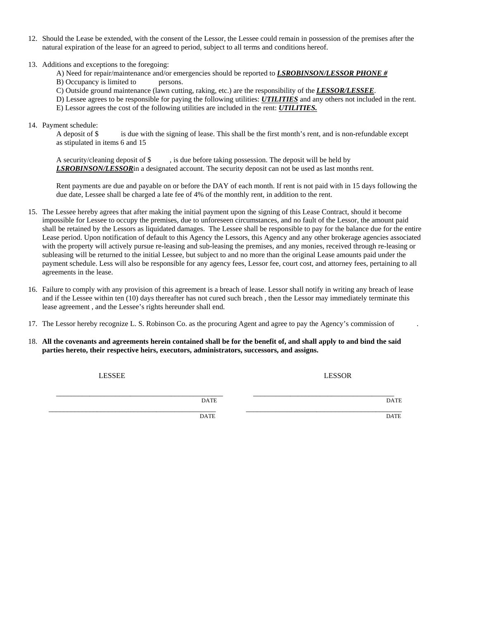- 12. Should the Lease be extended, with the consent of the Lessor, the Lessee could remain in possession of the premises after the natural expiration of the lease for an agreed to period, subject to all terms and conditions hereof.
- 13. Additions and exceptions to the foregoing:
	- A) Need for repair/maintenance and/or emergencies should be reported to *LSROBINSON/LESSOR PHONE #* B) Occupancy is limited to persons.
	- C) Outside ground maintenance (lawn cutting, raking, etc.) are the responsibility of the *LESSOR/LESSEE*.
	- D) Lessee agrees to be responsible for paying the following utilities: *UTILITIES* and any others not included in the rent.
	- E) Lessor agrees the cost of the following utilities are included in the rent: *UTILITIES.*
- 14. Payment schedule:

A deposit of \$ is due with the signing of lease. This shall be the first month's rent, and is non-refundable except as stipulated in items 6 and 15

A security/cleaning deposit of \$ , is due before taking possession. The deposit will be held by *LSROBINSON/LESSOR*in a designated account. The security deposit can not be used as last months rent.

Rent payments are due and payable on or before the DAY of each month. If rent is not paid with in 15 days following the due date, Lessee shall be charged a late fee of 4% of the monthly rent, in addition to the rent.

- 15. The Lessee hereby agrees that after making the initial payment upon the signing of this Lease Contract, should it become impossible for Lessee to occupy the premises, due to unforeseen circumstances, and no fault of the Lessor, the amount paid shall be retained by the Lessors as liquidated damages. The Lessee shall be responsible to pay for the balance due for the entire Lease period. Upon notification of default to this Agency the Lessors, this Agency and any other brokerage agencies associated with the property will actively pursue re-leasing and sub-leasing the premises, and any monies, received through re-leasing or subleasing will be returned to the initial Lessee, but subject to and no more than the original Lease amounts paid under the payment schedule. Less will also be responsible for any agency fees, Lessor fee, court cost, and attorney fees, pertaining to all agreements in the lease.
- 16. Failure to comply with any provision of this agreement is a breach of lease. Lessor shall notify in writing any breach of lease and if the Lessee within ten (10) days thereafter has not cured such breach , then the Lessor may immediately terminate this lease agreement , and the Lessee's rights hereunder shall end.
- 17. The Lessor hereby recognize L. S. Robinson Co. as the procuring Agent and agree to pay the Agency's commission of .
- 18. **All the covenants and agreements herein contained shall be for the benefit of, and shall apply to and bind the said parties hereto, their respective heirs, executors, administrators, successors, and assigns.**

LESSEE LESSOR

 $\overline{\text{DATE}}$   $\overline{\text{DATE}}$   $\overline{\text{DATE}}$ 

\_\_\_\_\_\_\_\_\_\_\_\_\_\_\_\_\_\_\_\_\_\_\_\_\_\_\_\_\_\_\_\_\_\_\_\_\_\_\_\_\_\_\_\_\_ \_\_\_\_\_\_\_\_\_\_\_\_\_\_\_\_\_\_\_\_\_\_\_\_\_\_\_\_\_\_\_\_\_\_\_\_\_\_\_\_\_\_ DATE D*A*TE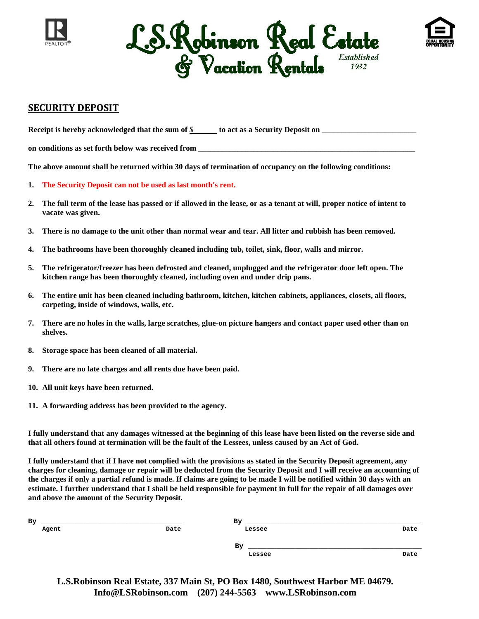





### **SECURITY DEPOSIT**

**Receipt is hereby acknowledged that the sum of** *\$* **to act as a Security Deposit on** \_\_\_\_\_\_\_\_\_\_\_\_\_\_\_\_\_\_\_\_\_\_\_\_

on conditions as set forth below was received from

**The above amount shall be returned within 30 days of termination of occupancy on the following conditions:** 

- **1. The Security Deposit can not be used as last month's rent.**
- **2. The full term of the lease has passed or if allowed in the lease, or as a tenant at will, proper notice of intent to vacate was given.**
- **3. There is no damage to the unit other than normal wear and tear. All litter and rubbish has been removed.**
- **4. The bathrooms have been thoroughly cleaned including tub, toilet, sink, floor, walls and mirror.**
- **5. The refrigerator/freezer has been defrosted and cleaned, unplugged and the refrigerator door left open. The kitchen range has been thoroughly cleaned, including oven and under drip pans.**
- **6. The entire unit has been cleaned including bathroom, kitchen, kitchen cabinets, appliances, closets, all floors, carpeting, inside of windows, walls, etc.**
- **7. There are no holes in the walls, large scratches, glue-on picture hangers and contact paper used other than on shelves.**
- **8. Storage space has been cleaned of all material.**
- **9. There are no late charges and all rents due have been paid.**
- **10. All unit keys have been returned.**
- **11. A forwarding address has been provided to the agency.**

**I fully understand that any damages witnessed at the beginning of this lease have been listed on the reverse side and that all others found at termination will be the fault of the Lessees, unless caused by an Act of God.** 

**I fully understand that if I have not complied with the provisions as stated in the Security Deposit agreement, any charges for cleaning, damage or repair will be deducted from the Security Deposit and I will receive an accounting of the charges if only a partial refund is made. If claims are going to be made I will be notified within 30 days with an estimate. I further understand that I shall be held responsible for payment in full for the repair of all damages over and above the amount of the Security Deposit.** 

| By    |      | By     |      |
|-------|------|--------|------|
| Agent | Date | Lessee | Date |
|       |      |        |      |
|       |      | By     |      |
|       |      | Lessee | Date |

**L.S.Robinson Real Estate, 337 Main St, PO Box 1480, Southwest Harbor ME 04679. Info@LSRobinson.com (207) 244-5563 www.LSRobinson.com**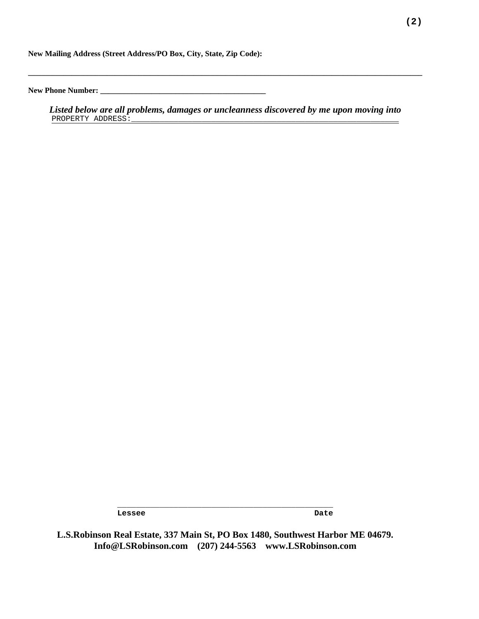**New Mailing Address (Street Address/PO Box, City, State, Zip Code):** 

**New Phone Number: \_\_\_\_\_\_\_\_\_\_\_\_\_\_\_\_\_\_\_\_\_\_\_\_\_\_\_\_\_\_\_\_\_\_\_\_\_\_\_\_\_\_** 

*Listed below are all problems, damages or uncleanness discovered by me upon moving into*  PROPERTY ADDRESS:

**\_\_\_\_\_\_\_\_\_\_\_\_\_\_\_\_\_\_\_\_\_\_\_\_\_\_\_\_\_\_\_\_\_\_\_\_\_\_\_\_\_\_\_\_\_\_\_\_\_\_\_\_\_\_\_\_\_\_\_\_\_\_\_\_\_\_\_\_\_\_\_\_\_\_\_\_\_\_\_\_\_\_\_\_\_\_\_\_\_\_\_\_\_\_\_\_\_\_\_\_** 

Lessee Date Date **Date** 

**L.S.Robinson Real Estate, 337 Main St, PO Box 1480, Southwest Harbor ME 04679. Info@LSRobinson.com (207) 244-5563 www.LSRobinson.com** 

**\_\_\_\_\_\_\_\_\_\_\_\_\_\_\_\_\_\_\_\_\_\_\_\_\_\_\_\_\_\_\_\_\_\_\_\_\_\_\_\_\_\_\_\_\_\_**